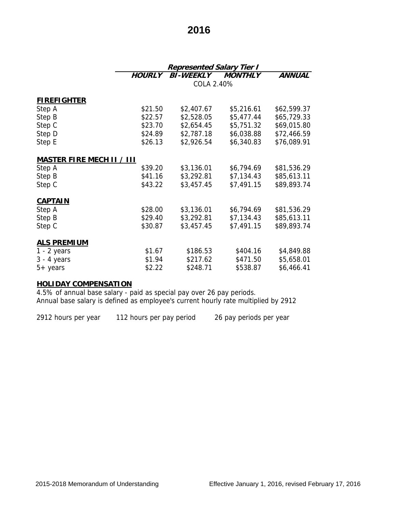# **2016**

|                                  | <b>Represented Salary Tier I</b> |                  |                |               |  |
|----------------------------------|----------------------------------|------------------|----------------|---------------|--|
|                                  | <b>HOURLY</b>                    | <b>BI-WEEKLY</b> | <b>MONTHLY</b> | <b>ANNUAL</b> |  |
|                                  | COLA 2.40%                       |                  |                |               |  |
|                                  |                                  |                  |                |               |  |
| <b>FIREFIGHTER</b>               |                                  |                  |                |               |  |
| Step A                           | \$21.50                          | \$2,407.67       | \$5,216.61     | \$62,599.37   |  |
| Step B                           | \$22.57                          | \$2,528.05       | \$5,477.44     | \$65,729.33   |  |
| Step C                           | \$23.70                          | \$2,654.45       | \$5,751.32     | \$69,015.80   |  |
| Step D                           | \$24.89                          | \$2,787.18       | \$6,038.88     | \$72,466.59   |  |
| Step E                           | \$26.13                          | \$2,926.54       | \$6,340.83     | \$76,089.91   |  |
|                                  |                                  |                  |                |               |  |
| <b>MASTER FIRE MECH II / III</b> |                                  |                  |                |               |  |
| Step A                           | \$39.20                          | \$3,136.01       | \$6,794.69     | \$81,536.29   |  |
| Step B                           | \$41.16                          | \$3,292.81       | \$7,134.43     | \$85,613.11   |  |
| Step C                           | \$43.22                          | \$3,457.45       | \$7,491.15     | \$89,893.74   |  |
|                                  |                                  |                  |                |               |  |
| <b>CAPTAIN</b>                   |                                  |                  |                |               |  |
| Step A                           | \$28.00                          | \$3,136.01       | \$6,794.69     | \$81,536.29   |  |
| Step B                           | \$29.40                          | \$3,292.81       | \$7,134.43     | \$85,613.11   |  |
| Step C                           | \$30.87                          | \$3,457.45       | \$7,491.15     | \$89,893.74   |  |
|                                  |                                  |                  |                |               |  |
| <b>ALS PREMIUM</b>               |                                  |                  |                |               |  |
| $1 - 2$ years                    | \$1.67                           | \$186.53         | \$404.16       | \$4,849.88    |  |
| $3 - 4$ years                    | \$1.94                           | \$217.62         | \$471.50       | \$5,658.01    |  |
| $5+$ years                       | \$2.22                           | \$248.71         | \$538.87       | \$6,466.41    |  |

### **HOLIDAY COMPENSATION**

4.5% of annual base salary - paid as special pay over 26 pay periods. Annual base salary is defined as employee's current hourly rate multiplied by 2912

2912 hours per year 112 hours per pay period 26 pay periods per year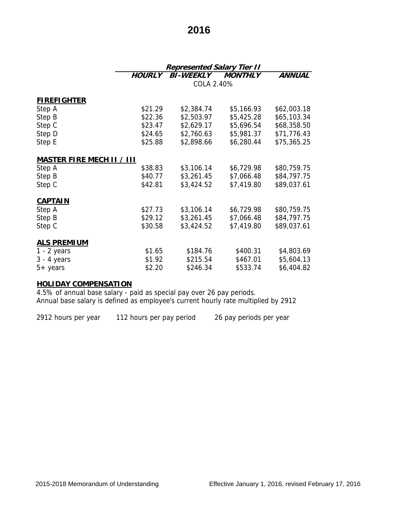# **2016**

|                           | <b>Represented Salary Tier II</b> |                  |                |               |  |
|---------------------------|-----------------------------------|------------------|----------------|---------------|--|
|                           | <b>HOURLY</b>                     | <b>BI-WEEKLY</b> | <b>MONTHLY</b> | <b>ANNUAL</b> |  |
|                           | COLA 2.40%                        |                  |                |               |  |
|                           |                                   |                  |                |               |  |
| <b>FIREFIGHTER</b>        |                                   |                  |                |               |  |
| Step A                    | \$21.29                           | \$2,384.74       | \$5,166.93     | \$62,003.18   |  |
| Step B                    | \$22.36                           | \$2,503.97       | \$5,425.28     | \$65,103.34   |  |
| Step C                    | \$23.47                           | \$2,629.17       | \$5,696.54     | \$68,358.50   |  |
| Step D                    | \$24.65                           | \$2,760.63       | \$5,981.37     | \$71,776.43   |  |
| Step E                    | \$25.88                           | \$2,898.66       | \$6,280.44     | \$75,365.25   |  |
|                           |                                   |                  |                |               |  |
| MASTER FIRE MECH II / III |                                   |                  |                |               |  |
| Step A                    | \$38.83                           | \$3,106.14       | \$6,729.98     | \$80,759.75   |  |
| Step B                    | \$40.77                           | \$3,261.45       | \$7,066.48     | \$84,797.75   |  |
| Step C                    | \$42.81                           | \$3,424.52       | \$7,419.80     | \$89,037.61   |  |
|                           |                                   |                  |                |               |  |
| <b>CAPTAIN</b>            |                                   |                  |                |               |  |
| Step A                    | \$27.73                           | \$3,106.14       | \$6,729.98     | \$80,759.75   |  |
| Step B                    | \$29.12                           | \$3,261.45       | \$7,066.48     | \$84,797.75   |  |
| Step C                    | \$30.58                           | \$3,424.52       | \$7,419.80     | \$89,037.61   |  |
| <b>ALS PREMIUM</b>        |                                   |                  |                |               |  |
| $1 - 2$ years             | \$1.65                            | \$184.76         | \$400.31       | \$4,803.69    |  |
| $3 - 4$ years             | \$1.92                            | \$215.54         | \$467.01       | \$5,604.13    |  |
| $5+$ years                | \$2.20                            | \$246.34         | \$533.74       | \$6,404.82    |  |

### **HOLIDAY COMPENSATION**

4.5% of annual base salary - paid as special pay over 26 pay periods. Annual base salary is defined as employee's current hourly rate multiplied by 2912

2912 hours per year 112 hours per pay period 26 pay periods per year